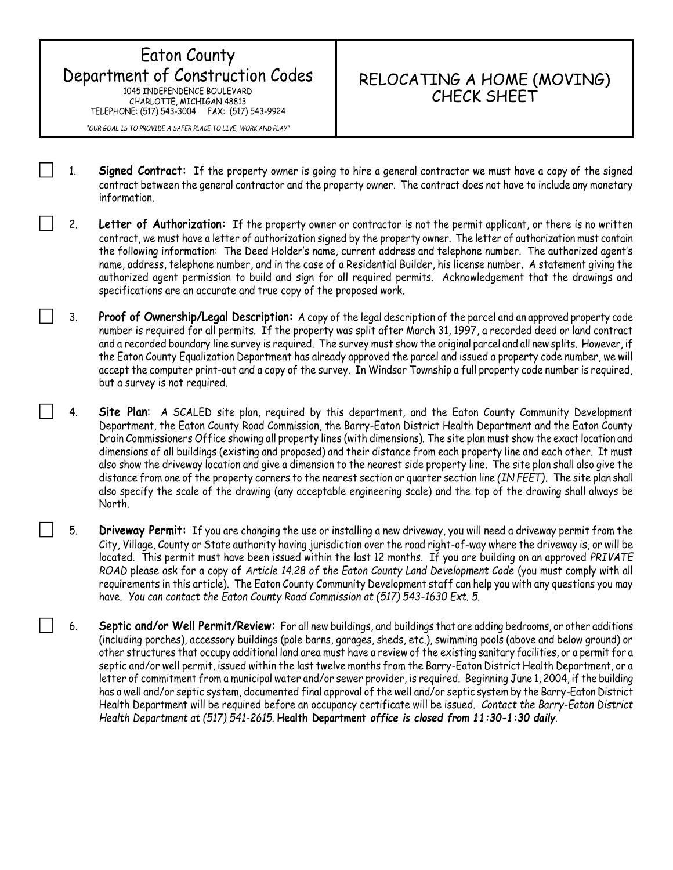## Eaton County Department of Construction Codes 1045 INDEPENDENCE BOULEVARD CHARLOTTE, MICHIGAN 48813 TELEPHONE: (517) 543-3004 FAX: (517) 543-9924

## RELOCATING A HOME (MOVING) CHECK SHEET

*"OUR GOAL IS TO PROVIDE A SAFER PLACE TO LIVE, WORK AND PLAY"*

- 1. **Signed Contract:** If the property owner is going to hire a general contractor we must have a copy of the signed contract between the general contractor and the property owner. The contract does not have to include any monetary information.
- 2. **Letter of Authorization:** If the property owner or contractor is not the permit applicant, or there is no written contract, we must have a letter of authorization signed by the property owner. The letter of authorization must contain the following information: The Deed Holder's name, current address and telephone number. The authorized agent's name, address, telephone number, and in the case of a Residential Builder, his license number. A statement giving the authorized agent permission to build and sign for all required permits. Acknowledgement that the drawings and specifications are an accurate and true copy of the proposed work.
- 3. **Proof of Ownership/Legal Description:** A copy of the legal description of the parcel and an approved property code number is required for all permits. If the property was split after March 31, 1997, a recorded deed or land contract and a recorded boundary line survey is required. The survey must show the original parcel and all new splits. However, if the Eaton County Equalization Department has already approved the parcel and issued a property code number, we will accept the computer print-out and a copy of the survey. In Windsor Township a full property code number is required, but a survey is not required.
- 4. **Site Plan**: A SCALED site plan, required by this department, and the Eaton County Community Development Department, the Eaton County Road Commission, the Barry-Eaton District Health Department and the Eaton County Drain Commissioners Office showing all property lines (with dimensions). The site plan must show the exact location and dimensions of all buildings (existing and proposed) and their distance from each property line and each other. It must also show the driveway location and give a dimension to the nearest side property line. The site plan shall also give the distance from one of the property corners to the nearest section or quarter section line *(IN FEET)***.** The site plan shall also specify the scale of the drawing (any acceptable engineering scale) and the top of the drawing shall always be North.
- 5. **Driveway Permit:** If you are changing the use or installing a new driveway, you will need a driveway permit from the City, Village, County or State authority having jurisdiction over the road right-of-way where the driveway is, or will be located. This permit must have been issued within the last 12 months. If you are building on an approved *PRIVATE ROAD* please ask for a copy of *Article 14.28 of the Eaton County Land Development Code* (you must comply with all requirements in this article). The Eaton County Community Development staff can help you with any questions you may have. *You can contact the Eaton County Road Commission at (517) 543-1630 Ext. 5.*
	- 6. **Septic and/or Well Permit/Review:** For all new buildings, and buildings that are adding bedrooms, or other additions (including porches), accessory buildings (pole barns, garages, sheds, etc.), swimming pools (above and below ground) or other structures that occupy additional land area must have a review of the existing sanitary facilities, or a permit for a septic and/or well permit, issued within the last twelve months from the Barry-Eaton District Health Department, or a letter of commitment from a municipal water and/or sewer provider, is required. Beginning June 1, 2004, if the building has a well and/or septic system, documented final approval of the well and/or septic system by the Barry-Eaton District Health Department will be required before an occupancy certificate will be issued. *Contact the Barry-Eaton District Health Department at (517) 541-2615.* **Health Department** *office is closed from 11:30-1:30 daily.*